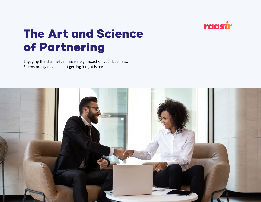

# The Art and Science of Partnering

Engaging the channel can have a big impact on your business. Seems pretty obvious, but getting it right is hard.

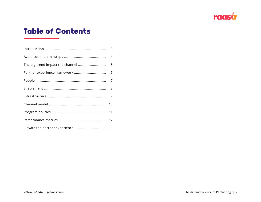

# Table of Contents

| 6  |
|----|
|    |
|    |
| 9  |
| 10 |
| 11 |
|    |
|    |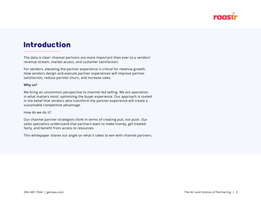

### <span id="page-2-0"></span>Introduction

The data is clear: channel partners are more important than ever to a vendors' revenue stream, market access, and customer satisfaction.

For vendors, elevating the partner experience is critical for revenue growth. How vendors design and execute partner experiences will improve partner satisfaction, reduce partner churn, and increase sales.

#### **Why us?**

We bring an uncommon perspective to channel-led selling. We are specialists in what matters most: optimizing the buyer experience. Our approach is rooted in the belief that vendors who transform the partner experience will create a sustainable competitive advantage.

How do we do it?

Our channel partner strategists think in terms of creating pull, not push. Our sales specialists understand that partners want to make money, get treated fairly, and benefit from access to resources.

This whitepaper shares our angle on what it takes to win with channel partners.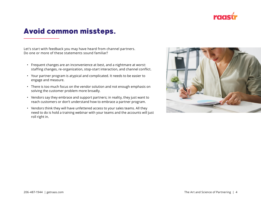

# <span id="page-3-0"></span>Avoid common missteps.

Let's start with feedback you may have heard from channel partners. Do one or more of these statements sound familiar?

- Frequent changes are an inconvenience at best, and a nightmare at worst: staffing changes, re-organization, stop-start interaction, and channel conflict.
- Your partner program is atypical and complicated. It needs to be easier to engage and measure.
- There is too much focus on the vendor solution and not enough emphasis on solving the customer problem more broadly.
- Vendors say they embrace and support partners; in reality, they just want to reach customers or don't understand how to embrace a partner program.
- Vendors think they will have unfettered access to your sales teams. All they need to do is hold a training webinar with your teams and the accounts will just roll right in.

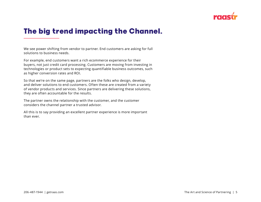

# <span id="page-4-0"></span>The big trend impacting the Channel.

We see power shifting from vendor to partner. End customers are asking for full solutions to business needs.

For example, end customers want a rich ecommerce experience for their buyers, not just credit card processing. Customers are moving from investing in technologies or product sets to expecting quantifiable business outcomes, such as higher conversion rates and ROI.

So that we're on the same page, partners are the folks who design, develop, and deliver solutions to end customers. Often these are created from a variety of vendor products and services. Since partners are delivering these solutions, they are often accountable for the results.

The partner owns the relationship with the customer, and the customer considers the channel partner a trusted advisor.

All this is to say providing an excellent partner experience is more important than ever.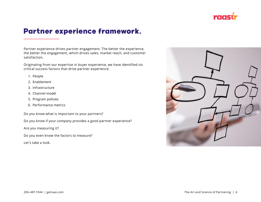

# <span id="page-5-0"></span>Partner experience framework.

Partner experience drives partner engagement. The better the experience, the better the engagement, which drives sales, market reach, and customer satisfaction.

Originating from our expertise in buyer experience, we have identified six critical success factors that drive partner experience:

- 1. People
- 2. Enablement
- 3. Infrastructure
- 4. Channel model
- 5. Program policies
- 6. Performance metrics

Do you know what is important to your partners?

Do you know if your company provides a good partner experience?

Are you measuring it?

Do you even know the factors to measure?

Let's take a look.

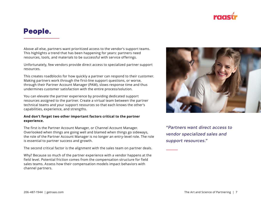

### <span id="page-6-0"></span>People.

Above all else, partners want prioritized access to the vendor's support teams. This highlights a trend that has been happening for years: partners need resources, tools, and materials to be successful with service offerings.

Unfortunately, few vendors provide direct access to specialized partner support resources.

This creates roadblocks for how quickly a partner can respond to their customer. Making partners work through the first-line support questions, or worse, through their Partner Account Manager (PAM), slows response time and thus undermines customer satisfaction with the entire process/solution.

You can elevate the partner experience by providing dedicated support resources assigned to the partner. Create a virtual team between the partner technical teams and your support resources so that each knows the other's capabilities, experience, and strengths.

#### **And don't forget two other important factors critical to the partner experience.**

The first is the Partner Account Manager, or Channel Account Manager. Overlooked when things are going well and blamed when things go sideways, the role of the Partner Account Manager is no longer an entry-level role. The role is essential to partner success and growth.

The second critical factor is the alignment with the sales team on partner deals.

Why? Because so much of the partner experience with a vendor happens at the field level. Potential friction comes from the compensation structure for field sales teams. Assess how their compensation models impact behaviors with channel partners.



*"Partners want direct access to vendor specialized sales and support resources."*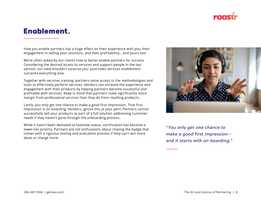

### <span id="page-7-0"></span>Enablement.

How you enable partners has a huge effect on their experience with you, their engagement in selling your solutions, and their profitability… and yours too!

We're often asked by our clients how to better enable partners for success. Considering the desired access to services and support people in the last section, our view shouldn't surprise you: post-sales services enablement outranks everything else.

Together with services training, partners value access to the methodologies and tools to effectively perform services. Vendors can increase the experience and engagement with their products by helping partners become successful and profitable with services. Keep in mind that partners make significantly more margin from professional services than they do from reselling products.

Lastly, you only get one chance to make a good first impression. That first impression is on-boarding. Vendors, ignore this at your peril. Partners cannot successfully sell your products as part of a full solution addressing customer needs if they haven't gone through the onboarding process.

While it hasn't been demoted to footnote status, certification has become a lower-tier priority. Partners are not enthusiastic about chasing the badge that comes with a rigorous testing and evaluation process if they can't win more deals or charge more.



*"You only get one chance to make a good first impression – and it starts with on-boarding."*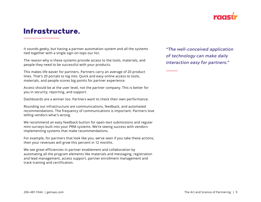

### <span id="page-8-0"></span>Infrastructure.

It sounds geeky, but having a partner automation system and all the systems tied together with a single sign-on tops our list.

The reason why is these systems provide access to the tools, materials, and people they need to be successful with your products.

This makes life easier for partners. Partners carry an average of 20 product lines. That's 20 portals to log into. Quick and easy online access to tools, materials, and people scores big points for partner experience.

Access should be at the user level, not the partner company. This is better for you in security, reporting, and support.

Dashboards are a winner too. Partners want to check their own performance.

Rounding out infrastructure are communications, feedback, and automated recommendations. The frequency of communications is important. Partners love telling vendors what's wrong.

We recommend an easy feedback button for open-text submissions and regular mini-surveys built into your PRM systems. We're seeing success with vendors implementing systems that make recommendations.

For example, for partners that look like you, we've seen if you take these actions, then your revenues will grow this percent in 12 months.

We see great efficiencies in partner enablement and collaboration by automating all the program elements like materials and messaging, registration and lead management, access support, partner enrollment management and track training and certification.

*"The well-conceived application of technology can make daily interaction easy for partners."*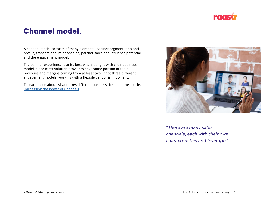

# <span id="page-9-0"></span>Channel model.

A channel model consists of many elements: partner segmentation and profile, transactional relationships, partner sales and influence potential, and the engagement model.

The partner experience is at its best when it aligns with their business model. Since most solution providers have some portion of their revenues and margins coming from at least two, if not three different engagement models, working with a flexible vendor is important.

To learn more about what makes different partners tick, read the article, [Harnessing the Power of Channels](https://www.getraas.com/sales-channels/).



*"There are many sales channels, each with their own characteristics and leverage."*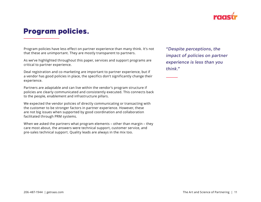

## <span id="page-10-0"></span>Program policies.

Program policies have less effect on partner experience than many think. It's not that these are unimportant. They are mostly transparent to partners.

As we've highlighted throughout this paper, services and support programs are critical to partner experience.

Deal registration and co-marketing are important to partner experience, but if a vendor has good policies in place, the specifics don't significantly change their experience.

Partners are adaptable and can live within the vendor's program structure if policies are clearly communicated and consistently executed. This connects back to the people, enablement and infrastructure pillars.

We expected the vendor policies of directly communicating or transacting with the customer to be stronger factors in partner experience. However, these are not big issues when supported by good coordination and collaboration facilitated through PRM systems.

When we asked the partners what program elements – other than margin – they care most about, the answers were technical support, customer service, and pre-sales technical support. Quality leads are always in the mix too.

*"Despite perceptions, the impact of policies on partner experience is less than you think."*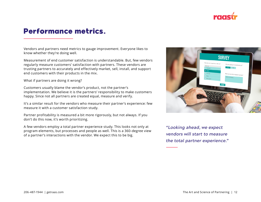

### <span id="page-11-0"></span>Performance metrics.

Vendors and partners need metrics to gauge improvement. Everyone likes to know whether they're doing well.

Measurement of end customer satisfaction is understandable. But, few vendors regularly measure customers' satisfaction with partners. These vendors are trusting partners to accurately and effectively market, sell, install, and support end customers with their products in the mix.

What if partners are doing it wrong?

Customers usually blame the vendor's product, not the partner's implementation. We believe it is the partners' responsibility to make customers happy. Since not all partners are created equal, measure and verify.

It's a similar result for the vendors who measure their partner's experience: few measure it with a customer satisfaction study.

Partner profitability is measured a bit more rigorously, but not always. If you don't do this now, it's worth prioritizing.

A few vendors employ a total partner experience study. This looks not only at program elements, but processes and people as well. This is a 360-degree view of a partner's interactions with the vendor. We expect this to be big.



*"Looking ahead, we expect vendors will start to measure the total partner experience."*